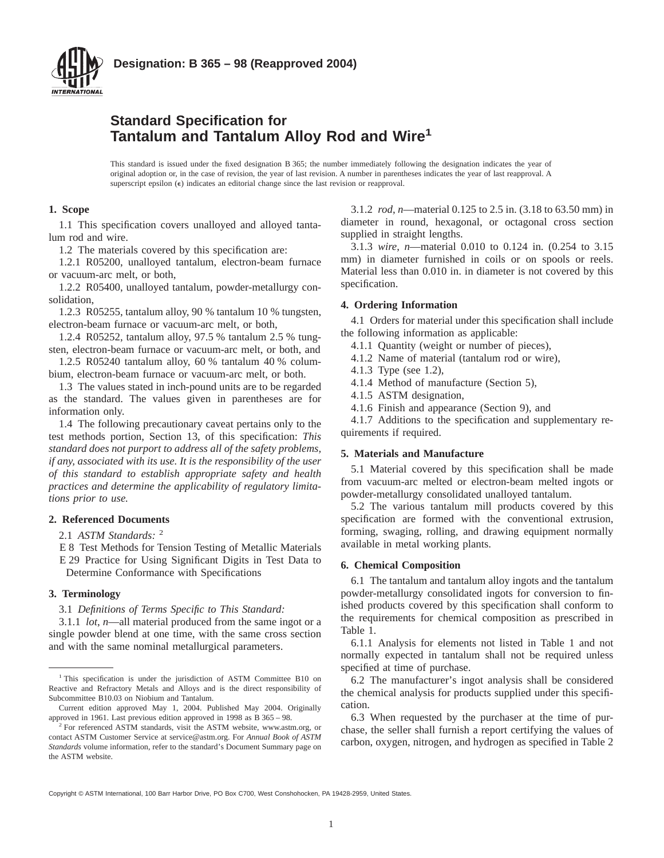

## **Standard Specification for Tantalum and Tantalum Alloy Rod and Wire<sup>1</sup>**

This standard is issued under the fixed designation B 365; the number immediately following the designation indicates the year of original adoption or, in the case of revision, the year of last revision. A number in parentheses indicates the year of last reapproval. A superscript epsilon ( $\epsilon$ ) indicates an editorial change since the last revision or reapproval.

### **1. Scope**

1.1 This specification covers unalloyed and alloyed tantalum rod and wire.

1.2 The materials covered by this specification are:

1.2.1 R05200, unalloyed tantalum, electron-beam furnace or vacuum-arc melt, or both,

1.2.2 R05400, unalloyed tantalum, powder-metallurgy consolidation,

1.2.3 R05255, tantalum alloy, 90 % tantalum 10 % tungsten, electron-beam furnace or vacuum-arc melt, or both,

1.2.4 R05252, tantalum alloy, 97.5 % tantalum 2.5 % tungsten, electron-beam furnace or vacuum-arc melt, or both, and

1.2.5 R05240 tantalum alloy, 60 % tantalum 40 % columbium, electron-beam furnace or vacuum-arc melt, or both.

1.3 The values stated in inch-pound units are to be regarded as the standard. The values given in parentheses are for information only.

1.4 The following precautionary caveat pertains only to the test methods portion, Section 13, of this specification: *This standard does not purport to address all of the safety problems, if any, associated with its use. It is the responsibility of the user of this standard to establish appropriate safety and health practices and determine the applicability of regulatory limitations prior to use.*

## **2. Referenced Documents**

2.1 *ASTM Standards:* <sup>2</sup>

E 8 Test Methods for Tension Testing of Metallic Materials E 29 Practice for Using Significant Digits in Test Data to Determine Conformance with Specifications

### **3. Terminology**

3.1 *Definitions of Terms Specific to This Standard:*

3.1.1 *lot*, *n*—all material produced from the same ingot or a single powder blend at one time, with the same cross section and with the same nominal metallurgical parameters.

3.1.2 *rod*, *n*—material 0.125 to 2.5 in. (3.18 to 63.50 mm) in diameter in round, hexagonal, or octagonal cross section supplied in straight lengths.

3.1.3 *wire*, *n*—material 0.010 to 0.124 in. (0.254 to 3.15 mm) in diameter furnished in coils or on spools or reels. Material less than 0.010 in. in diameter is not covered by this specification.

### **4. Ordering Information**

4.1 Orders for material under this specification shall include the following information as applicable:

- 4.1.1 Quantity (weight or number of pieces),
- 4.1.2 Name of material (tantalum rod or wire),
- 4.1.3 Type (see 1.2),
- 4.1.4 Method of manufacture (Section 5),
- 4.1.5 ASTM designation,
- 4.1.6 Finish and appearance (Section 9), and

4.1.7 Additions to the specification and supplementary requirements if required.

### **5. Materials and Manufacture**

5.1 Material covered by this specification shall be made from vacuum-arc melted or electron-beam melted ingots or powder-metallurgy consolidated unalloyed tantalum.

5.2 The various tantalum mill products covered by this specification are formed with the conventional extrusion, forming, swaging, rolling, and drawing equipment normally available in metal working plants.

### **6. Chemical Composition**

6.1 The tantalum and tantalum alloy ingots and the tantalum powder-metallurgy consolidated ingots for conversion to finished products covered by this specification shall conform to the requirements for chemical composition as prescribed in Table 1.

6.1.1 Analysis for elements not listed in Table 1 and not normally expected in tantalum shall not be required unless specified at time of purchase.

6.2 The manufacturer's ingot analysis shall be considered the chemical analysis for products supplied under this specification.

6.3 When requested by the purchaser at the time of purchase, the seller shall furnish a report certifying the values of carbon, oxygen, nitrogen, and hydrogen as specified in Table 2

<sup>&</sup>lt;sup>1</sup> This specification is under the jurisdiction of ASTM Committee B10 on Reactive and Refractory Metals and Alloys and is the direct responsibility of Subcommittee B10.03 on Niobium and Tantalum.

Current edition approved May 1, 2004. Published May 2004. Originally approved in 1961. Last previous edition approved in 1998 as B 365 – 98.

<sup>&</sup>lt;sup>2</sup> For referenced ASTM standards, visit the ASTM website, www.astm.org, or contact ASTM Customer Service at service@astm.org. For *Annual Book of ASTM Standards* volume information, refer to the standard's Document Summary page on the ASTM website.

Copyright © ASTM International, 100 Barr Harbor Drive, PO Box C700, West Conshohocken, PA 19428-2959, United States.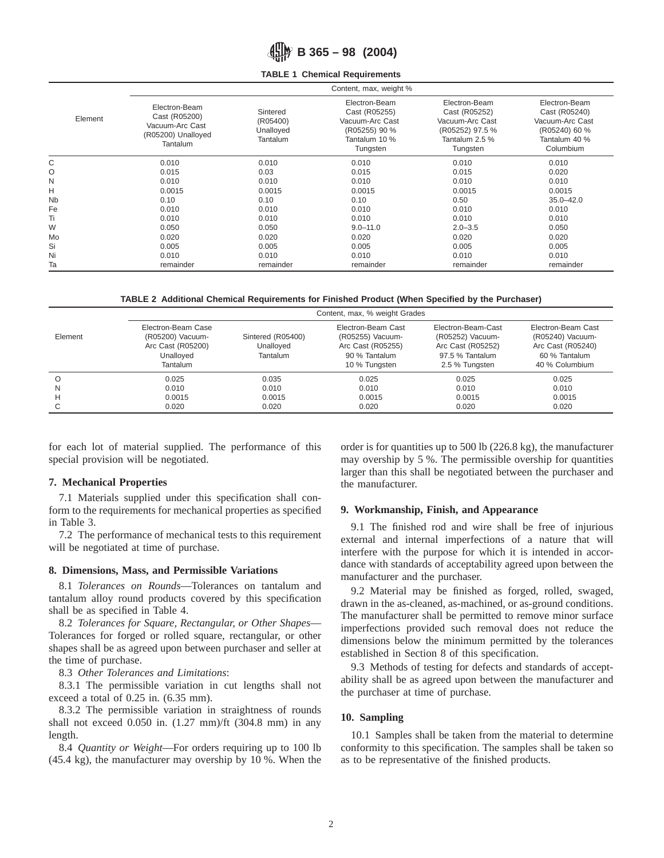**B 365 – 98 (2004)**

### **TABLE 1 Chemical Requirements**

|                      | Content, max, weight %                                                              |                                               |                                                                                                 |                                                                                                    |                                                                                                  |  |
|----------------------|-------------------------------------------------------------------------------------|-----------------------------------------------|-------------------------------------------------------------------------------------------------|----------------------------------------------------------------------------------------------------|--------------------------------------------------------------------------------------------------|--|
| Element              | Electron-Beam<br>Cast (R05200)<br>Vacuum-Arc Cast<br>(R05200) Unalloyed<br>Tantalum | Sintered<br>(R05400)<br>Unalloyed<br>Tantalum | Electron-Beam<br>Cast (R05255)<br>Vacuum-Arc Cast<br>(R05255) 90 %<br>Tantalum 10 %<br>Tungsten | Electron-Beam<br>Cast (R05252)<br>Vacuum-Arc Cast<br>(R05252) 97.5 %<br>Tantalum 2.5 %<br>Tungsten | Electron-Beam<br>Cast (R05240)<br>Vacuum-Arc Cast<br>(R05240) 60 %<br>Tantalum 40 %<br>Columbium |  |
| C                    | 0.010                                                                               | 0.010                                         | 0.010                                                                                           | 0.010                                                                                              | 0.010                                                                                            |  |
| O                    | 0.015                                                                               | 0.03                                          | 0.015                                                                                           | 0.015                                                                                              | 0.020                                                                                            |  |
| N                    | 0.010                                                                               | 0.010                                         | 0.010                                                                                           | 0.010                                                                                              | 0.010                                                                                            |  |
| н                    | 0.0015                                                                              | 0.0015                                        | 0.0015                                                                                          | 0.0015                                                                                             | 0.0015                                                                                           |  |
| <b>N<sub>b</sub></b> | 0.10                                                                                | 0.10                                          | 0.10                                                                                            | 0.50                                                                                               | $35.0 - 42.0$                                                                                    |  |
| Fe                   | 0.010                                                                               | 0.010                                         | 0.010                                                                                           | 0.010                                                                                              | 0.010                                                                                            |  |
| Ti                   | 0.010                                                                               | 0.010                                         | 0.010                                                                                           | 0.010                                                                                              | 0.010                                                                                            |  |
| W                    | 0.050                                                                               | 0.050                                         | $9.0 - 11.0$                                                                                    | $2.0 - 3.5$                                                                                        | 0.050                                                                                            |  |
| Mo                   | 0.020                                                                               | 0.020                                         | 0.020                                                                                           | 0.020                                                                                              | 0.020                                                                                            |  |
| Si                   | 0.005                                                                               | 0.005                                         | 0.005                                                                                           | 0.005                                                                                              | 0.005                                                                                            |  |
| Ni                   | 0.010                                                                               | 0.010                                         | 0.010                                                                                           | 0.010                                                                                              | 0.010                                                                                            |  |
| Ta                   | remainder                                                                           | remainder                                     | remainder                                                                                       | remainder                                                                                          | remainder                                                                                        |  |

**TABLE 2 Additional Chemical Requirements for Finished Product (When Specified by the Purchaser)**

|          | Content, max, % weight Grades                                                               |                                            |                                                                                               |                                                                                                  |                                                                                                |
|----------|---------------------------------------------------------------------------------------------|--------------------------------------------|-----------------------------------------------------------------------------------------------|--------------------------------------------------------------------------------------------------|------------------------------------------------------------------------------------------------|
| Element  | Electron-Beam Case<br>(R05200) Vacuum-<br>Arc Cast (R05200)<br>Unalloved<br><b>Tantalum</b> | Sintered (R05400)<br>Unalloyed<br>Tantalum | Electron-Beam Cast<br>(R05255) Vacuum-<br>Arc Cast (R05255)<br>90 % Tantalum<br>10 % Tungsten | Electron-Beam-Cast<br>(R05252) Vacuum-<br>Arc Cast (R05252)<br>97.5 % Tantalum<br>2.5 % Tungsten | Electron-Beam Cast<br>(R05240) Vacuum-<br>Arc Cast (R05240)<br>60 % Tantalum<br>40 % Columbium |
| $\Omega$ | 0.025                                                                                       | 0.035                                      | 0.025                                                                                         | 0.025                                                                                            | 0.025                                                                                          |
| N        | 0.010                                                                                       | 0.010                                      | 0.010                                                                                         | 0.010                                                                                            | 0.010                                                                                          |
| н        | 0.0015                                                                                      | 0.0015                                     | 0.0015                                                                                        | 0.0015                                                                                           | 0.0015                                                                                         |
|          | 0.020                                                                                       | 0.020                                      | 0.020                                                                                         | 0.020                                                                                            | 0.020                                                                                          |

for each lot of material supplied. The performance of this special provision will be negotiated.

## **7. Mechanical Properties**

7.1 Materials supplied under this specification shall conform to the requirements for mechanical properties as specified in Table 3.

7.2 The performance of mechanical tests to this requirement will be negotiated at time of purchase.

### **8. Dimensions, Mass, and Permissible Variations**

8.1 *Tolerances on Rounds*—Tolerances on tantalum and tantalum alloy round products covered by this specification shall be as specified in Table 4.

8.2 *Tolerances for Square, Rectangular, or Other Shapes*— Tolerances for forged or rolled square, rectangular, or other shapes shall be as agreed upon between purchaser and seller at the time of purchase.

8.3 *Other Tolerances and Limitations*:

8.3.1 The permissible variation in cut lengths shall not exceed a total of 0.25 in. (6.35 mm).

8.3.2 The permissible variation in straightness of rounds shall not exceed  $0.050$  in.  $(1.27$  mm)/ft  $(304.8$  mm) in any length.

8.4 *Quantity or Weight*—For orders requiring up to 100 lb (45.4 kg), the manufacturer may overship by 10 %. When the order is for quantities up to 500 lb (226.8 kg), the manufacturer may overship by 5 %. The permissible overship for quantities larger than this shall be negotiated between the purchaser and the manufacturer.

## **9. Workmanship, Finish, and Appearance**

9.1 The finished rod and wire shall be free of injurious external and internal imperfections of a nature that will interfere with the purpose for which it is intended in accordance with standards of acceptability agreed upon between the manufacturer and the purchaser.

9.2 Material may be finished as forged, rolled, swaged, drawn in the as-cleaned, as-machined, or as-ground conditions. The manufacturer shall be permitted to remove minor surface imperfections provided such removal does not reduce the dimensions below the minimum permitted by the tolerances established in Section 8 of this specification.

9.3 Methods of testing for defects and standards of acceptability shall be as agreed upon between the manufacturer and the purchaser at time of purchase.

## **10. Sampling**

10.1 Samples shall be taken from the material to determine conformity to this specification. The samples shall be taken so as to be representative of the finished products.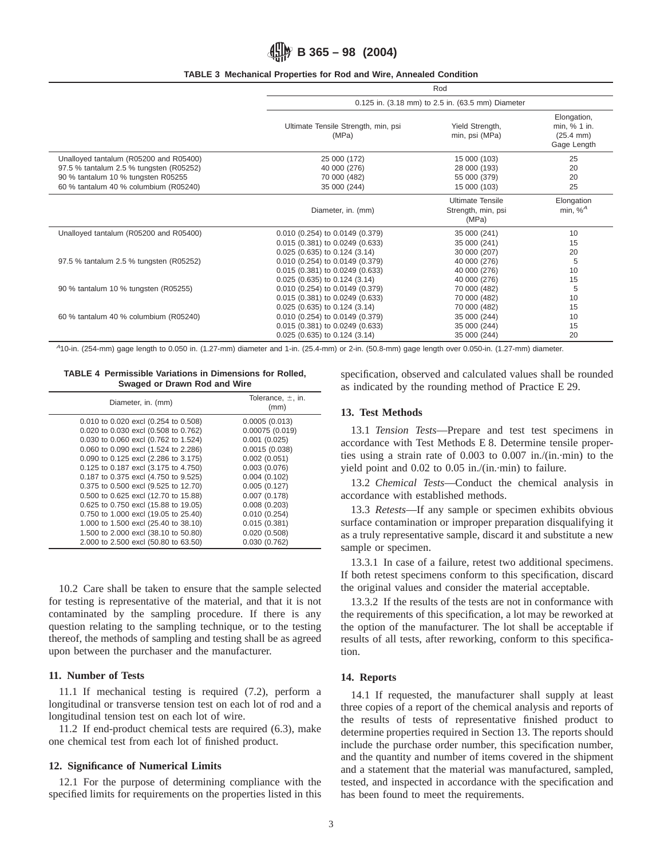# **B 365 – 98 (2004)**

### **TABLE 3 Mechanical Properties for Rod and Wire, Annealed Condition**

|                                         | Rod                                          |                                                        |                                                                     |  |
|-----------------------------------------|----------------------------------------------|--------------------------------------------------------|---------------------------------------------------------------------|--|
|                                         |                                              | 0.125 in. (3.18 mm) to 2.5 in. (63.5 mm) Diameter      |                                                                     |  |
|                                         | Ultimate Tensile Strength, min, psi<br>(MPa) | Yield Strength,<br>min, psi (MPa)                      | Elongation,<br>min, % 1 in.<br>$(25.4 \, \text{mm})$<br>Gage Length |  |
| Unalloyed tantalum (R05200 and R05400)  | 25 000 (172)                                 | 15 000 (103)                                           | 25                                                                  |  |
| 97.5 % tantalum 2.5 % tungsten (R05252) | 40 000 (276)                                 | 28 000 (193)                                           | 20                                                                  |  |
| 90 % tantalum 10 % tungsten R05255      | 70 000 (482)                                 | 55 000 (379)                                           | 20                                                                  |  |
| 60 % tantalum 40 % columbium (R05240)   | 35 000 (244)                                 | 15 000 (103)                                           | 25                                                                  |  |
|                                         | Diameter, in. (mm)                           | <b>Ultimate Tensile</b><br>Strength, min, psi<br>(MPa) | Elongation<br>min, $%^A$                                            |  |
| Unalloyed tantalum (R05200 and R05400)  | 0.010 (0.254) to 0.0149 (0.379)              | 35 000 (241)                                           | 10                                                                  |  |
|                                         | 0.015 (0.381) to 0.0249 (0.633)              | 35 000 (241)                                           | 15                                                                  |  |
|                                         | $0.025$ (0.635) to 0.124 (3.14)              | 30 000 (207)                                           | 20                                                                  |  |
| 97.5 % tantalum 2.5 % tungsten (R05252) | 0.010 (0.254) to 0.0149 (0.379)              | 40 000 (276)                                           | 5                                                                   |  |
|                                         | 0.015 (0.381) to 0.0249 (0.633)              | 40 000 (276)                                           | 10                                                                  |  |
|                                         | $0.025$ (0.635) to 0.124 (3.14)              | 40 000 (276)                                           | 15                                                                  |  |
| 90 % tantalum 10 % tungsten (R05255)    | $0.010$ (0.254) to $0.0149$ (0.379)          | 70 000 (482)                                           | 5                                                                   |  |
|                                         | 0.015 (0.381) to 0.0249 (0.633)              | 70 000 (482)                                           | 10                                                                  |  |
|                                         | $0.025$ (0.635) to 0.124 (3.14)              | 70 000 (482)                                           | 15                                                                  |  |
| 60 % tantalum 40 % columbium (R05240)   | 0.010 (0.254) to 0.0149 (0.379)              | 35 000 (244)                                           | 10                                                                  |  |
|                                         | 0.015 (0.381) to 0.0249 (0.633)              | 35 000 (244)                                           | 15                                                                  |  |
|                                         | 0.025 (0.635) to 0.124 (3.14)                | 35 000 (244)                                           | 20                                                                  |  |

<sup>A</sup>10-in. (254-mm) gage length to 0.050 in. (1.27-mm) diameter and 1-in. (25.4-mm) or 2-in. (50.8-mm) gage length over 0.050-in. (1.27-mm) diameter.

**TABLE 4 Permissible Variations in Dimensions for Rolled, Swaged or Drawn Rod and Wire**

| Diameter, in. (mm)                   | Tolerance, $\pm$ , in.<br>(mm) |
|--------------------------------------|--------------------------------|
| 0.010 to 0.020 excl (0.254 to 0.508) | 0.0005(0.013)                  |
| 0.020 to 0.030 excl (0.508 to 0.762) | 0.00075(0.019)                 |
| 0.030 to 0.060 excl (0.762 to 1.524) | 0.001(0.025)                   |
| 0.060 to 0.090 excl (1.524 to 2.286) | 0.0015(0.038)                  |
| 0.090 to 0.125 excl (2.286 to 3.175) | 0.002(0.051)                   |
| 0.125 to 0.187 excl (3.175 to 4.750) | 0.003(0.076)                   |
| 0.187 to 0.375 excl (4.750 to 9.525) | 0.004(0.102)                   |
| 0.375 to 0.500 excl (9.525 to 12.70) | 0.005(0.127)                   |
| 0.500 to 0.625 excl (12.70 to 15.88) | 0.007(0.178)                   |
| 0.625 to 0.750 excl (15.88 to 19.05) | 0.008(0.203)                   |
| 0.750 to 1.000 excl (19.05 to 25.40) | 0.010(0.254)                   |
| 1.000 to 1.500 excl (25.40 to 38.10) | 0.015(0.381)                   |
| 1.500 to 2.000 excl (38.10 to 50.80) | 0.020(0.508)                   |
| 2.000 to 2.500 excl (50.80 to 63.50) | 0.030(0.762)                   |

10.2 Care shall be taken to ensure that the sample selected for testing is representative of the material, and that it is not contaminated by the sampling procedure. If there is any question relating to the sampling technique, or to the testing thereof, the methods of sampling and testing shall be as agreed upon between the purchaser and the manufacturer.

## **11. Number of Tests**

11.1 If mechanical testing is required (7.2), perform a longitudinal or transverse tension test on each lot of rod and a longitudinal tension test on each lot of wire.

11.2 If end-product chemical tests are required (6.3), make one chemical test from each lot of finished product.

### **12. Significance of Numerical Limits**

12.1 For the purpose of determining compliance with the specified limits for requirements on the properties listed in this specification, observed and calculated values shall be rounded as indicated by the rounding method of Practice E 29.

### **13. Test Methods**

13.1 *Tension Tests*—Prepare and test test specimens in accordance with Test Methods E 8. Determine tensile properties using a strain rate of 0.003 to 0.007 in./(in.·min) to the yield point and 0.02 to 0.05 in./(in.·min) to failure.

13.2 *Chemical Tests*—Conduct the chemical analysis in accordance with established methods.

13.3 *Retests*—If any sample or specimen exhibits obvious surface contamination or improper preparation disqualifying it as a truly representative sample, discard it and substitute a new sample or specimen.

13.3.1 In case of a failure, retest two additional specimens. If both retest specimens conform to this specification, discard the original values and consider the material acceptable.

13.3.2 If the results of the tests are not in conformance with the requirements of this specification, a lot may be reworked at the option of the manufacturer. The lot shall be acceptable if results of all tests, after reworking, conform to this specification.

## **14. Reports**

14.1 If requested, the manufacturer shall supply at least three copies of a report of the chemical analysis and reports of the results of tests of representative finished product to determine properties required in Section 13. The reports should include the purchase order number, this specification number, and the quantity and number of items covered in the shipment and a statement that the material was manufactured, sampled, tested, and inspected in accordance with the specification and has been found to meet the requirements.